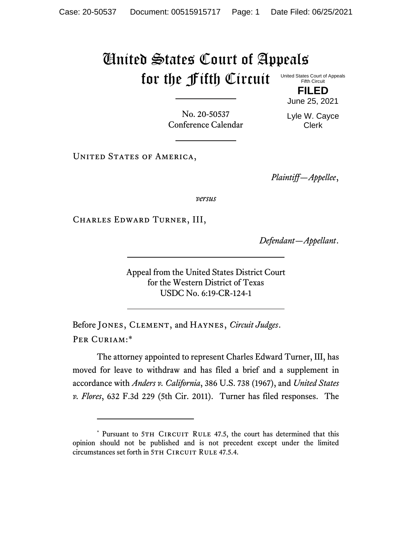## United States Court of Appeals for the Fifth Circuit United States Court of Appeals

Fifth Circuit

**FILED** June 25, 2021

No. 20-50537 Conference Calendar Lyle W. Cayce Clerk

UNITED STATES OF AMERICA,

*Plaintiff—Appellee*,

*versus*

Charles Edward Turner, III,

*Defendant—Appellant*.

Appeal from the United States District Court for the Western District of Texas USDC No. 6:19-CR-124-1

Before Jones, Clement, and Haynes, *Circuit Judges*. Per Curiam:\*

<span id="page-0-0"></span>The attorney appointed to represent Charles Edward Turner, III, has moved for leave to withdraw and has filed a brief and a supplement in accordance with *Anders v. California*, 386 U.S. 738 (1967), and *United States v. Flores*, 632 F.3d 229 (5th Cir. 2011). Turner has filed responses. The

<sup>\*</sup> Pursuant to 5TH CIRCUIT RULE 47.5, the court has determined that this opinion should not be published and is not precedent except under the limited circumstances set forth in 5TH CIRCUIT RULE 47.5.4.